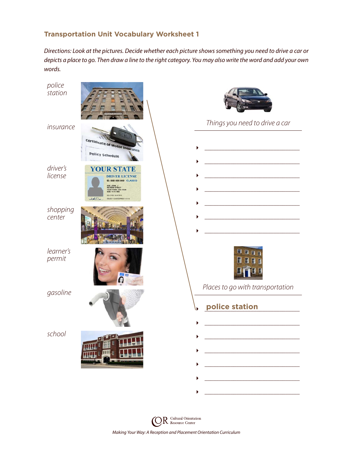## **Transportation Unit Vocabulary Worksheet 1**

*Directions: Look at the pictures. Decide whether each picture shows something you need to drive a car or depicts a place to go. Then draw a line to the right category. You may also write the word and add your own words.*



*Making Your Way: A Reception and Placement Orientation Curriculum*